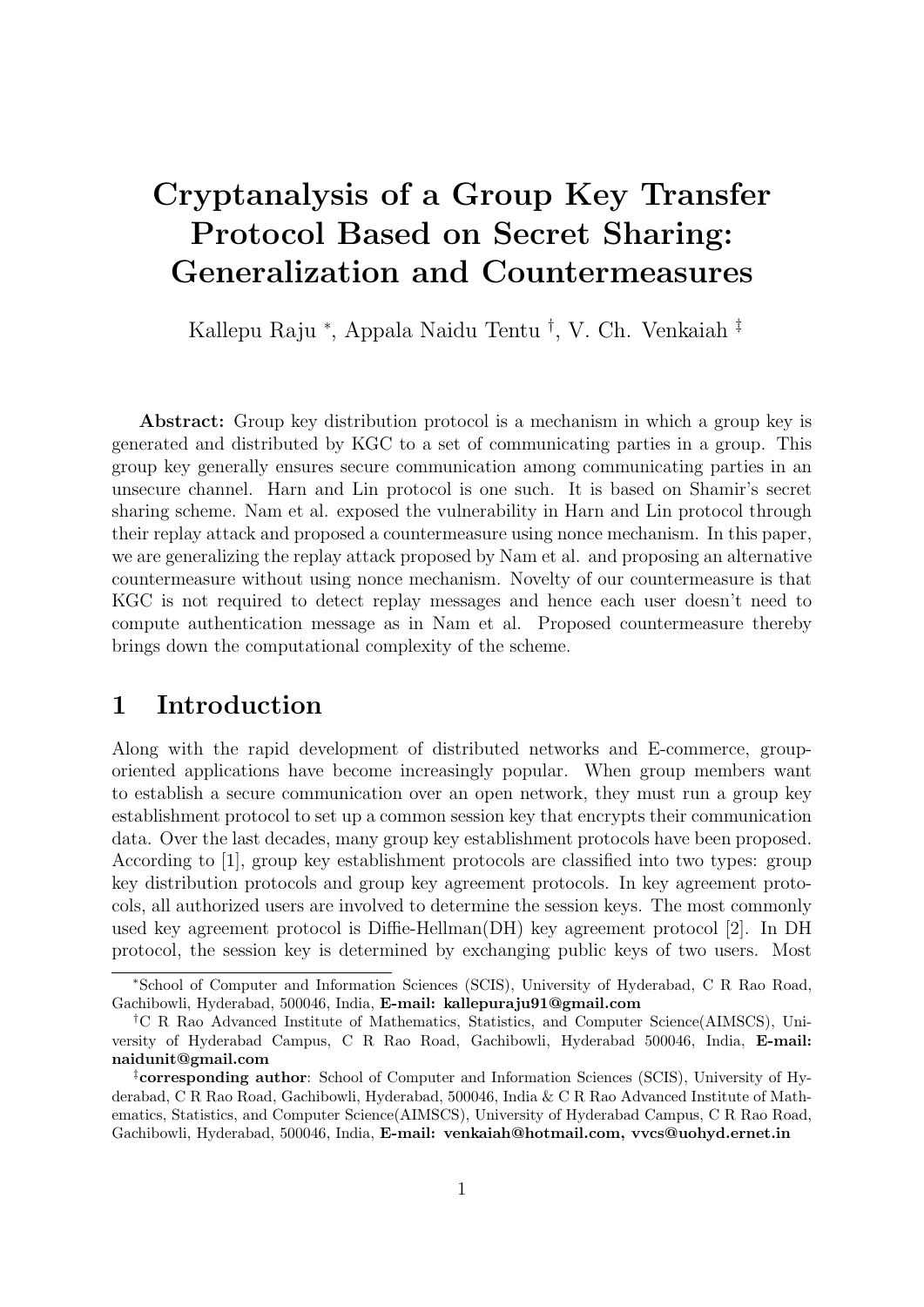# Cryptanalysis of a Group Key Transfer Protocol Based on Secret Sharing: Generalization and Countermeasures

Kallepu Raju <sup>∗</sup> , Appala Naidu Tentu † , V. Ch. Venkaiah ‡

Abstract: Group key distribution protocol is a mechanism in which a group key is generated and distributed by KGC to a set of communicating parties in a group. This group key generally ensures secure communication among communicating parties in an unsecure channel. Harn and Lin protocol is one such. It is based on Shamir's secret sharing scheme. Nam et al. exposed the vulnerability in Harn and Lin protocol through their replay attack and proposed a countermeasure using nonce mechanism. In this paper, we are generalizing the replay attack proposed by Nam et al. and proposing an alternative countermeasure without using nonce mechanism. Novelty of our countermeasure is that KGC is not required to detect replay messages and hence each user doesn't need to compute authentication message as in Nam et al. Proposed countermeasure thereby brings down the computational complexity of the scheme.

### 1 Introduction

Along with the rapid development of distributed networks and E-commerce, grouporiented applications have become increasingly popular. When group members want to establish a secure communication over an open network, they must run a group key establishment protocol to set up a common session key that encrypts their communication data. Over the last decades, many group key establishment protocols have been proposed. According to [1], group key establishment protocols are classified into two types: group key distribution protocols and group key agreement protocols. In key agreement protocols, all authorized users are involved to determine the session keys. The most commonly used key agreement protocol is Diffie-Hellman(DH) key agreement protocol [2]. In DH protocol, the session key is determined by exchanging public keys of two users. Most

<sup>∗</sup>School of Computer and Information Sciences (SCIS), University of Hyderabad, C R Rao Road, Gachibowli, Hyderabad, 500046, India, E-mail: kallepuraju91@gmail.com

<sup>†</sup>C R Rao Advanced Institute of Mathematics, Statistics, and Computer Science(AIMSCS), University of Hyderabad Campus, C R Rao Road, Gachibowli, Hyderabad 500046, India, E-mail: naidunit@gmail.com

<sup>‡</sup>corresponding author: School of Computer and Information Sciences (SCIS), University of Hyderabad, C R Rao Road, Gachibowli, Hyderabad, 500046, India & C R Rao Advanced Institute of Mathematics, Statistics, and Computer Science(AIMSCS), University of Hyderabad Campus, C R Rao Road, Gachibowli, Hyderabad, 500046, India, E-mail: venkaiah@hotmail.com, vvcs@uohyd.ernet.in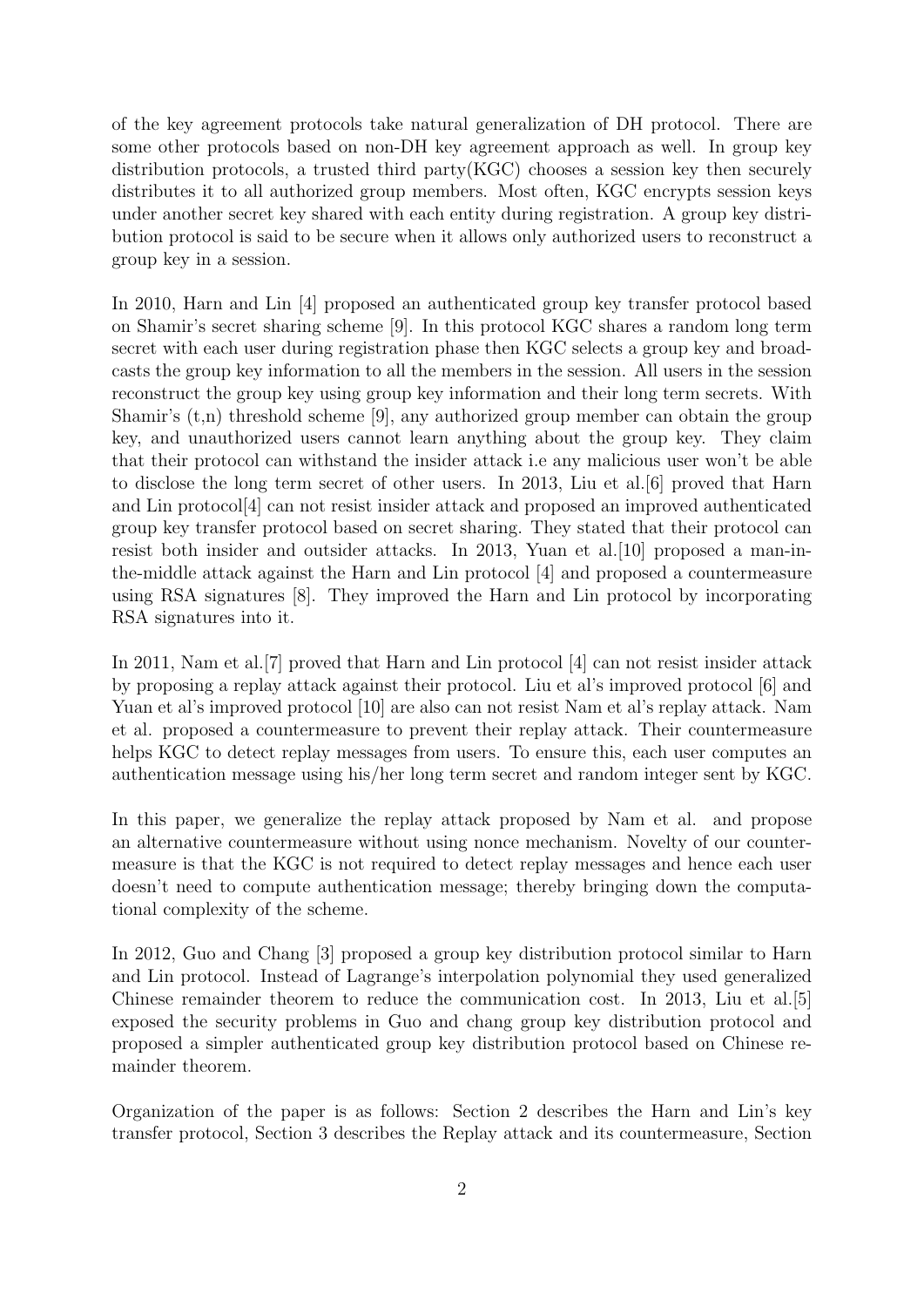of the key agreement protocols take natural generalization of DH protocol. There are some other protocols based on non-DH key agreement approach as well. In group key distribution protocols, a trusted third party(KGC) chooses a session key then securely distributes it to all authorized group members. Most often, KGC encrypts session keys under another secret key shared with each entity during registration. A group key distribution protocol is said to be secure when it allows only authorized users to reconstruct a group key in a session.

In 2010, Harn and Lin [4] proposed an authenticated group key transfer protocol based on Shamir's secret sharing scheme [9]. In this protocol KGC shares a random long term secret with each user during registration phase then KGC selects a group key and broadcasts the group key information to all the members in the session. All users in the session reconstruct the group key using group key information and their long term secrets. With Shamir's  $(t,n)$  threshold scheme [9], any authorized group member can obtain the group key, and unauthorized users cannot learn anything about the group key. They claim that their protocol can withstand the insider attack i.e any malicious user won't be able to disclose the long term secret of other users. In 2013, Liu et al.[6] proved that Harn and Lin protocol[4] can not resist insider attack and proposed an improved authenticated group key transfer protocol based on secret sharing. They stated that their protocol can resist both insider and outsider attacks. In 2013, Yuan et al.[10] proposed a man-inthe-middle attack against the Harn and Lin protocol [4] and proposed a countermeasure using RSA signatures [8]. They improved the Harn and Lin protocol by incorporating RSA signatures into it.

In 2011, Nam et al.[7] proved that Harn and Lin protocol [4] can not resist insider attack by proposing a replay attack against their protocol. Liu et al's improved protocol [6] and Yuan et al's improved protocol [10] are also can not resist Nam et al's replay attack. Nam et al. proposed a countermeasure to prevent their replay attack. Their countermeasure helps KGC to detect replay messages from users. To ensure this, each user computes an authentication message using his/her long term secret and random integer sent by KGC.

In this paper, we generalize the replay attack proposed by Nam et al. and propose an alternative countermeasure without using nonce mechanism. Novelty of our countermeasure is that the KGC is not required to detect replay messages and hence each user doesn't need to compute authentication message; thereby bringing down the computational complexity of the scheme.

In 2012, Guo and Chang [3] proposed a group key distribution protocol similar to Harn and Lin protocol. Instead of Lagrange's interpolation polynomial they used generalized Chinese remainder theorem to reduce the communication cost. In 2013, Liu et al.[5] exposed the security problems in Guo and chang group key distribution protocol and proposed a simpler authenticated group key distribution protocol based on Chinese remainder theorem.

Organization of the paper is as follows: Section 2 describes the Harn and Lin's key transfer protocol, Section 3 describes the Replay attack and its countermeasure, Section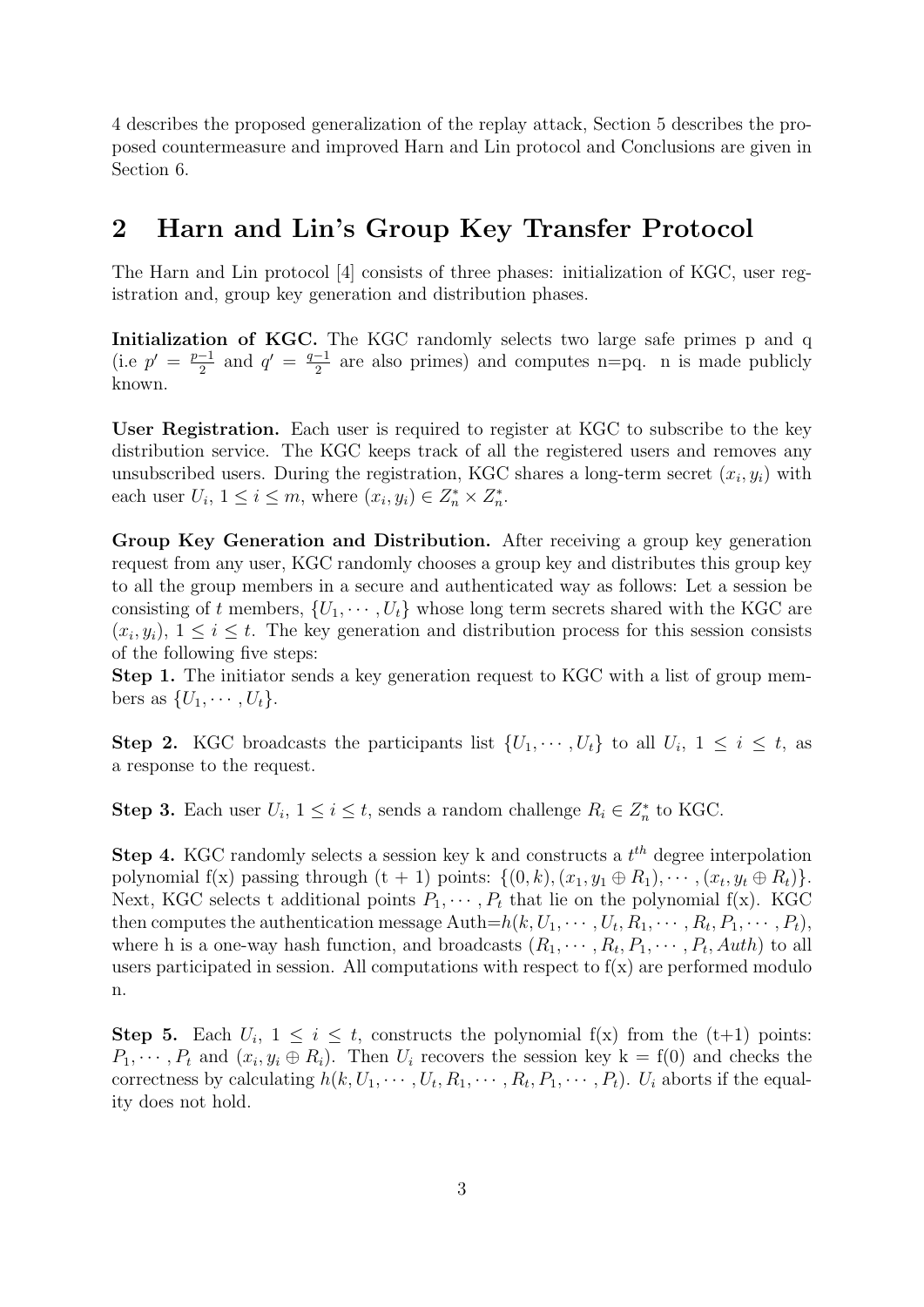4 describes the proposed generalization of the replay attack, Section 5 describes the proposed countermeasure and improved Harn and Lin protocol and Conclusions are given in Section 6.

## 2 Harn and Lin's Group Key Transfer Protocol

The Harn and Lin protocol [4] consists of three phases: initialization of KGC, user registration and, group key generation and distribution phases.

Initialization of KGC. The KGC randomly selects two large safe primes p and q  $(i.e p' = \frac{p-1}{2})$  $\frac{-1}{2}$  and  $q' = \frac{q-1}{2}$  $\frac{-1}{2}$  are also primes) and computes n=pq. n is made publicly known.

User Registration. Each user is required to register at KGC to subscribe to the key distribution service. The KGC keeps track of all the registered users and removes any unsubscribed users. During the registration, KGC shares a long-term secret  $(x_i, y_i)$  with each user  $U_i$ ,  $1 \leq i \leq m$ , where  $(x_i, y_i) \in Z_n^* \times Z_n^*$ .

Group Key Generation and Distribution. After receiving a group key generation request from any user, KGC randomly chooses a group key and distributes this group key to all the group members in a secure and authenticated way as follows: Let a session be consisting of t members,  $\{U_1, \cdots, U_t\}$  whose long term secrets shared with the KGC are  $(x_i, y_i)$ ,  $1 \leq i \leq t$ . The key generation and distribution process for this session consists of the following five steps:

Step 1. The initiator sends a key generation request to KGC with a list of group members as  $\{U_1, \cdots, U_t\}.$ 

**Step 2.** KGC broadcasts the participants list  $\{U_1, \dots, U_t\}$  to all  $U_i$ ,  $1 \leq i \leq t$ , as a response to the request.

**Step 3.** Each user  $U_i$ ,  $1 \leq i \leq t$ , sends a random challenge  $R_i \in Z_n^*$  to KGC.

**Step 4.** KGC randomly selects a session key k and constructs a  $t<sup>th</sup>$  degree interpolation polynomial f(x) passing through  $(t + 1)$  points:  $\{(0, k), (x_1, y_1 \oplus R_1), \cdots, (x_t, y_t \oplus R_t)\}.$ Next, KGC selects t additional points  $P_1, \dots, P_t$  that lie on the polynomial f(x). KGC then computes the authentication message Auth $=h(k, U_1, \cdots, U_t, R_1, \cdots, R_t, P_1, \cdots, P_t)$ , where h is a one-way hash function, and broadcasts  $(R_1, \dots, R_t, P_1, \dots, P_t, \text{Aut}h)$  to all users participated in session. All computations with respect to  $f(x)$  are performed modulo n.

**Step 5.** Each  $U_i$ ,  $1 \leq i \leq t$ , constructs the polynomial  $f(x)$  from the  $(t+1)$  points:  $P_1, \dots, P_t$  and  $(x_i, y_i \oplus R_i)$ . Then  $U_i$  recovers the session key  $k = f(0)$  and checks the correctness by calculating  $h(k, U_1, \cdots, U_t, R_1, \cdots, R_t, P_1, \cdots, P_t)$ .  $U_i$  aborts if the equality does not hold.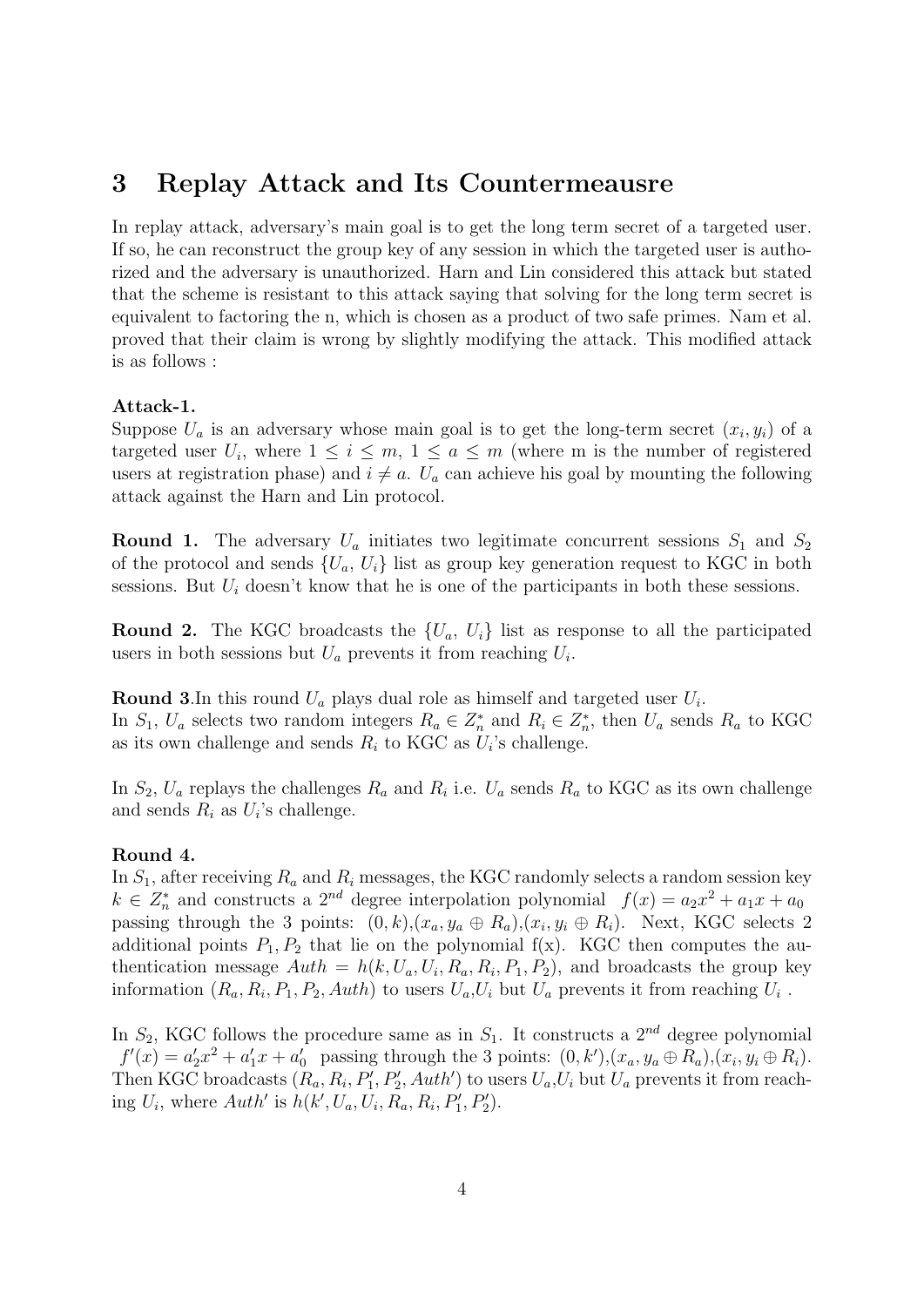### 3 Replay Attack and Its Countermeausre

In replay attack, adversary's main goal is to get the long term secret of a targeted user. If so, he can reconstruct the group key of any session in which the targeted user is authorized and the adversary is unauthorized. Harn and Lin considered this attack but stated that the scheme is resistant to this attack saying that solving for the long term secret is equivalent to factoring the n, which is chosen as a product of two safe primes. Nam et al. proved that their claim is wrong by slightly modifying the attack. This modified attack is as follows :

#### Attack-1.

Suppose  $U_a$  is an adversary whose main goal is to get the long-term secret  $(x_i, y_i)$  of a targeted user  $U_i$ , where  $1 \leq i \leq m$ ,  $1 \leq a \leq m$  (where m is the number of registered users at registration phase) and  $i \neq a$ .  $U_a$  can achieve his goal by mounting the following attack against the Harn and Lin protocol.

**Round 1.** The adversary  $U_a$  initiates two legitimate concurrent sessions  $S_1$  and  $S_2$ of the protocol and sends  $\{U_a, U_i\}$  list as group key generation request to KGC in both sessions. But  $U_i$  doesn't know that he is one of the participants in both these sessions.

**Round 2.** The KGC broadcasts the  $\{U_a, U_i\}$  list as response to all the participated users in both sessions but  $U_a$  prevents it from reaching  $U_i$ .

**Round 3.** In this round  $U_a$  plays dual role as himself and targeted user  $U_i$ . In  $S_1$ ,  $U_a$  selects two random integers  $R_a \in \mathbb{Z}_n^*$  and  $R_i \in \mathbb{Z}_n^*$ , then  $U_a$  sends  $R_a$  to KGC as its own challenge and sends  $R_i$  to KGC as  $U_i$ 's challenge.

In  $S_2$ ,  $U_a$  replays the challenges  $R_a$  and  $R_i$  i.e.  $U_a$  sends  $R_a$  to KGC as its own challenge and sends  $R_i$  as  $U_i$ 's challenge.

#### Round 4.

In  $S_1$ , after receiving  $R_a$  and  $R_i$  messages, the KGC randomly selects a random session key  $k \in Z_n^*$  and constructs a  $2^{nd}$  degree interpolation polynomial  $f(x) = a_2x^2 + a_1x + a_0$ passing through the 3 points:  $(0, k), (x_a, y_a \oplus R_a), (x_i, y_i \oplus R_i)$ . Next, KGC selects 2 additional points  $P_1, P_2$  that lie on the polynomial  $f(x)$ . KGC then computes the authentication message  $Auth = h(k, U_a, U_i, R_a, R_i, P_1, P_2)$ , and broadcasts the group key information  $(R_a, R_i, P_1, P_2, Auth)$  to users  $U_a, U_i$  but  $U_a$  prevents it from reaching  $U_i$ .

In  $S_2$ , KGC follows the procedure same as in  $S_1$ . It constructs a  $2^{nd}$  degree polynomial  $f'(x) = a'_2x^2 + a'_1x + a'_0$  passing through the 3 points:  $(0, k'), (x_a, y_a \oplus R_a), (x_i, y_i \oplus R_i)$ . Then KGC broadcasts  $(R_a, R_i, P'_1, P'_2, Auth')$  to users  $U_a, U_i$  but  $U_a$  prevents it from reaching  $U_i$ , where  $Auth'$  is  $h(k', U_a, U_i, R_a, R_i, P'_1, P'_2)$ .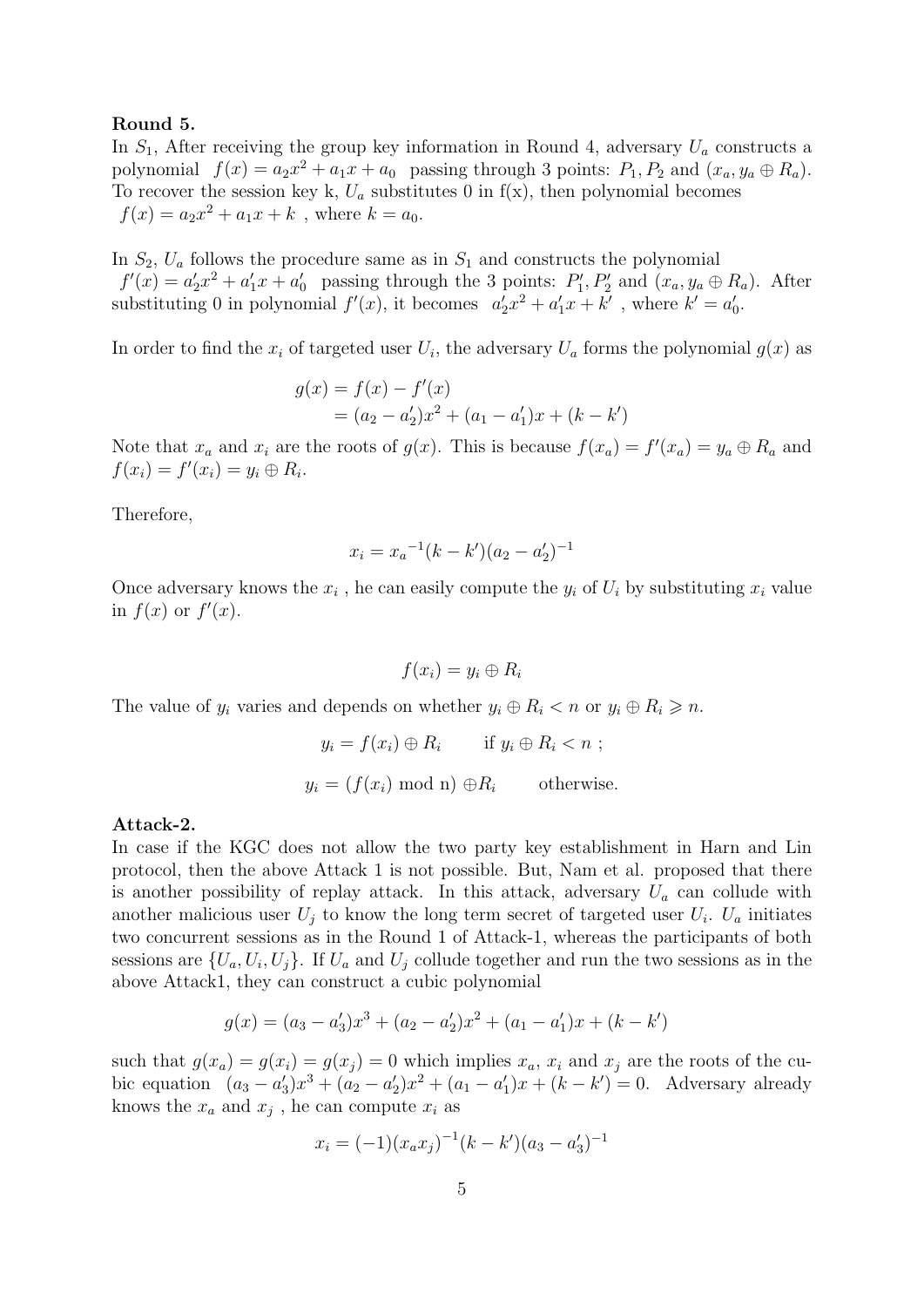#### Round 5.

In  $S_1$ , After receiving the group key information in Round 4, adversary  $U_a$  constructs a polynomial  $f(x) = a_2x^2 + a_1x + a_0$  passing through 3 points:  $P_1, P_2$  and  $(x_a, y_a \oplus R_a)$ . To recover the session key k,  $U_a$  substitutes 0 in f(x), then polynomial becomes  $f(x) = a_2x^2 + a_1x + k$ , where  $k = a_0$ .

In  $S_2$ ,  $U_a$  follows the procedure same as in  $S_1$  and constructs the polynomial  $f'(x) = a'_2x^2 + a'_1x + a'_0$  passing through the 3 points:  $P'_1, P'_2$  and  $(x_a, y_a \oplus R_a)$ . After substituting 0 in polynomial  $f'(x)$ , it becomes  $a'_2x^2 + a'_1x + k'$ , where  $k' = a'_0$ .

In order to find the  $x_i$  of targeted user  $U_i$ , the adversary  $U_a$  forms the polynomial  $g(x)$  as

$$
g(x) = f(x) - f'(x)
$$
  
=  $(a_2 - a'_2)x^2 + (a_1 - a'_1)x + (k - k')$ 

Note that  $x_a$  and  $x_i$  are the roots of  $g(x)$ . This is because  $f(x_a) = f'(x_a) = y_a \oplus R_a$  and  $f(x_i) = f'(x_i) = y_i \oplus R_i.$ 

Therefore,

$$
x_i = x_a^{-1}(k - k')(a_2 - a'_2)^{-1}
$$

Once adversary knows the  $x_i$ , he can easily compute the  $y_i$  of  $U_i$  by substituting  $x_i$  value in  $f(x)$  or  $f'(x)$ .

$$
f(x_i) = y_i \oplus R_i
$$

The value of  $y_i$  varies and depends on whether  $y_i \oplus R_i < n$  or  $y_i \oplus R_i \geq n$ .

$$
y_i = f(x_i) \oplus R_i
$$
 if  $y_i \oplus R_i < n$ ;  
 $y_i = (f(x_i) \mod n) \oplus R_i$  otherwise.

#### Attack-2.

In case if the KGC does not allow the two party key establishment in Harn and Lin protocol, then the above Attack 1 is not possible. But, Nam et al. proposed that there is another possibility of replay attack. In this attack, adversary  $U_a$  can collude with another malicious user  $U_j$  to know the long term secret of targeted user  $U_i$ .  $U_a$  initiates two concurrent sessions as in the Round 1 of Attack-1, whereas the participants of both sessions are  $\{U_a, U_i, U_j\}$ . If  $U_a$  and  $U_j$  collude together and run the two sessions as in the above Attack1, they can construct a cubic polynomial

$$
g(x) = (a_3 - a'_3)x^3 + (a_2 - a'_2)x^2 + (a_1 - a'_1)x + (k - k')
$$

such that  $g(x_a) = g(x_i) = g(x_i) = 0$  which implies  $x_a$ ,  $x_i$  and  $x_j$  are the roots of the cubic equation  $(a_3 - a'_3)x^3 + (a_2 - a'_2)x^2 + (a_1 - a'_1)x + (k - k') = 0$ . Adversary already knows the  $x_a$  and  $x_j$ , he can compute  $x_i$  as

$$
x_i = (-1)(x_a x_j)^{-1} (k - k')(a_3 - a'_3)^{-1}
$$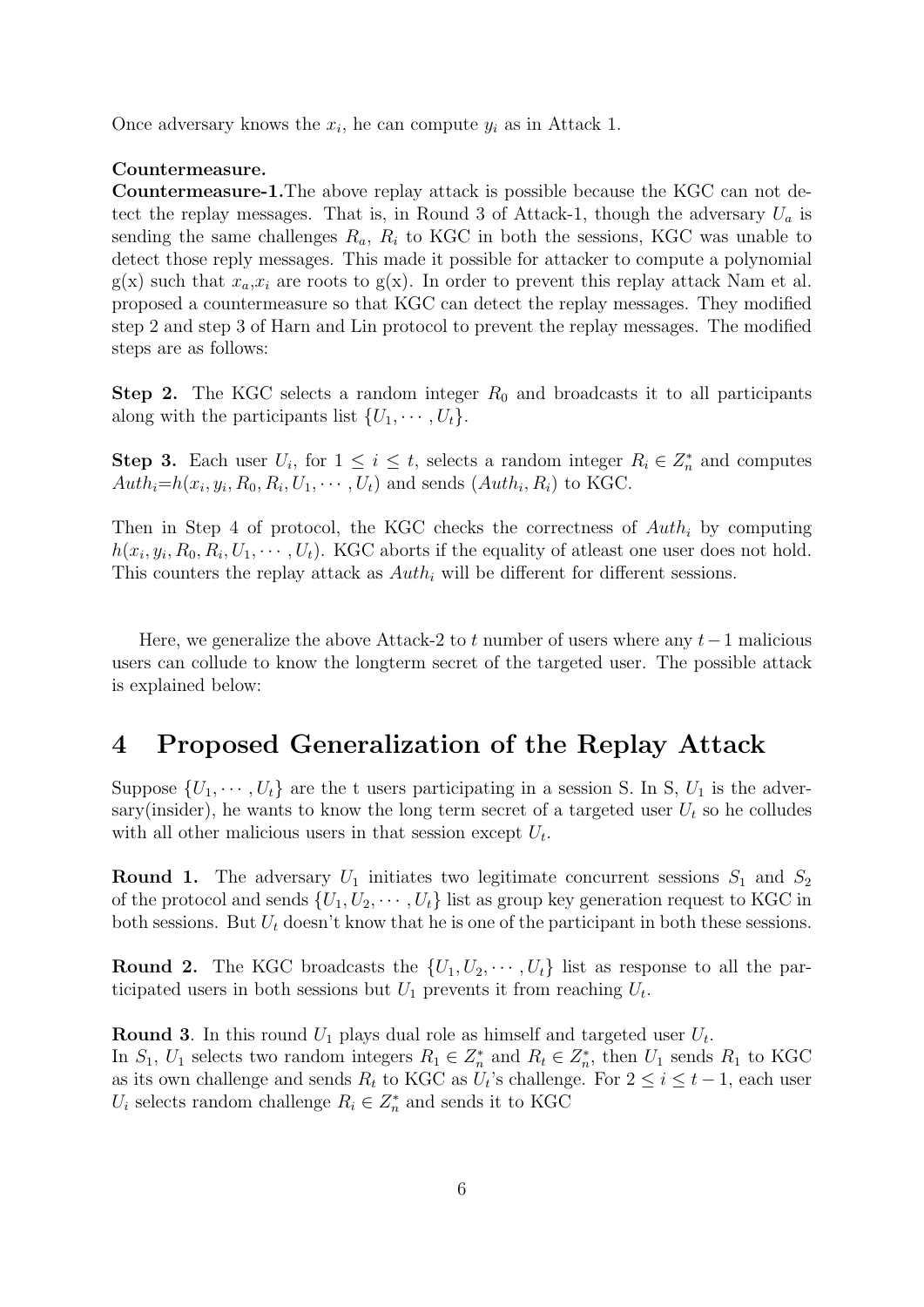Once adversary knows the  $x_i$ , he can compute  $y_i$  as in Attack 1.

#### Countermeasure.

Countermeasure-1.The above replay attack is possible because the KGC can not detect the replay messages. That is, in Round 3 of Attack-1, though the adversary  $U_a$  is sending the same challenges  $R_a$ ,  $R_i$  to KGC in both the sessions, KGC was unable to detect those reply messages. This made it possible for attacker to compute a polynomial  $g(x)$  such that  $x_a, x_i$  are roots to  $g(x)$ . In order to prevent this replay attack Nam et al. proposed a countermeasure so that KGC can detect the replay messages. They modified step 2 and step 3 of Harn and Lin protocol to prevent the replay messages. The modified steps are as follows:

**Step 2.** The KGC selects a random integer  $R_0$  and broadcasts it to all participants along with the participants list  $\{U_1, \cdots, U_t\}$ .

**Step 3.** Each user  $U_i$ , for  $1 \leq i \leq t$ , selects a random integer  $R_i \in Z_n^*$  and computes  $Auth_i=h(x_i, y_i, R_0, R_i, U_1, \cdots, U_t)$  and sends  $(Auth_i, R_i)$  to KGC.

Then in Step 4 of protocol, the KGC checks the correctness of  $\text{Aut}h_i$  by computing  $h(x_i, y_i, R_0, R_i, U_1, \dots, U_t)$ . KGC aborts if the equality of atleast one user does not hold. This counters the replay attack as  $Auth_i$  will be different for different sessions.

Here, we generalize the above Attack-2 to t number of users where any  $t-1$  malicious users can collude to know the longterm secret of the targeted user. The possible attack is explained below:

### 4 Proposed Generalization of the Replay Attack

Suppose  $\{U_1, \dots, U_t\}$  are the t users participating in a session S. In S,  $U_1$  is the adversary(insider), he wants to know the long term secret of a targeted user  $U_t$  so he colludes with all other malicious users in that session except  $U_t$ .

**Round 1.** The adversary  $U_1$  initiates two legitimate concurrent sessions  $S_1$  and  $S_2$ of the protocol and sends  $\{U_1, U_2, \cdots, U_t\}$  list as group key generation request to KGC in both sessions. But  $U_t$  doesn't know that he is one of the participant in both these sessions.

**Round 2.** The KGC broadcasts the  $\{U_1, U_2, \cdots, U_t\}$  list as response to all the participated users in both sessions but  $U_1$  prevents it from reaching  $U_t$ .

**Round 3**. In this round  $U_1$  plays dual role as himself and targeted user  $U_t$ . In  $S_1$ ,  $U_1$  selects two random integers  $R_1 \in Z_n^*$  and  $R_t \in Z_n^*$ , then  $U_1$  sends  $R_1$  to KGC as its own challenge and sends  $R_t$  to KGC as  $U_t$ 's challenge. For  $2 \leq i \leq t-1$ , each user  $U_i$  selects random challenge  $R_i \in Z_n^*$  and sends it to KGC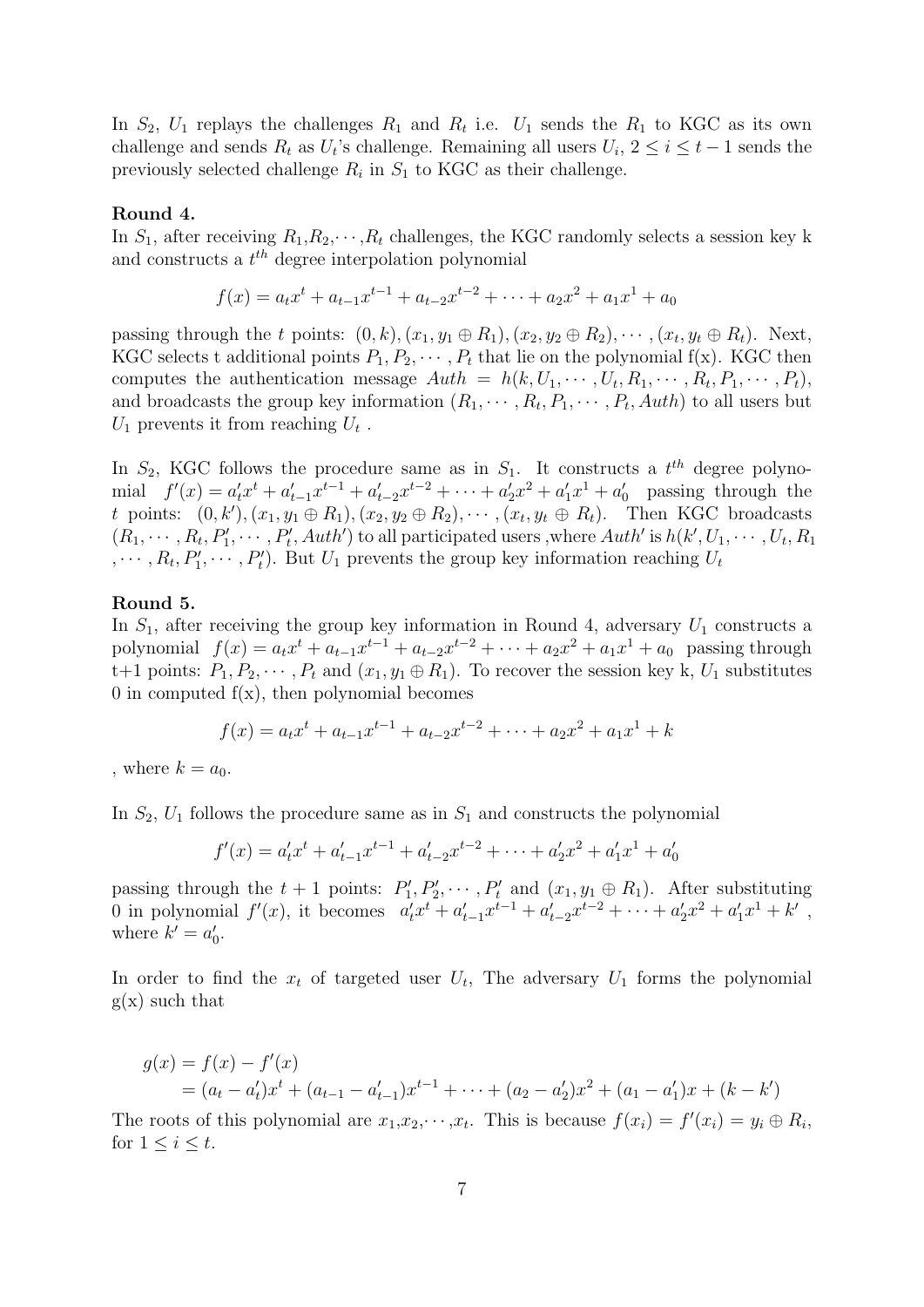In  $S_2$ ,  $U_1$  replays the challenges  $R_1$  and  $R_t$  i.e.  $U_1$  sends the  $R_1$  to KGC as its own challenge and sends  $R_t$  as  $U_t$ 's challenge. Remaining all users  $U_i$ ,  $2 \le i \le t-1$  sends the previously selected challenge  $R_i$  in  $S_1$  to KGC as their challenge.

#### Round 4.

In  $S_1$ , after receiving  $R_1, R_2, \cdots, R_t$  challenges, the KGC randomly selects a session key k and constructs a  $t^{th}$  degree interpolation polynomial

$$
f(x) = a_t x^t + a_{t-1} x^{t-1} + a_{t-2} x^{t-2} + \dots + a_2 x^2 + a_1 x^1 + a_0
$$

passing through the t points:  $(0, k), (x_1, y_1 \oplus R_1), (x_2, y_2 \oplus R_2), \cdots, (x_t, y_t \oplus R_t)$ . Next, KGC selects t additional points  $P_1, P_2, \cdots, P_t$  that lie on the polynomial f(x). KGC then computes the authentication message  $Auth = h(k, U_1, \cdots, U_t, R_1, \cdots, R_t, P_1, \cdots, P_t)$ , and broadcasts the group key information  $(R_1, \dots, R_t, P_1, \dots, P_t, \text{Aut}h)$  to all users but  $U_1$  prevents it from reaching  $U_t$ .

In  $S_2$ , KGC follows the procedure same as in  $S_1$ . It constructs a  $t^{th}$  degree polynomial  $f'(x) = a'_t x^t + a'_{t-1} x^{t-1} + a'_{t-2} x^{t-2} + \cdots + a'_2 x^2 + a'_1 x^1 + a'_0$  passing through the t points:  $(0, k'), (x_1, y_1 \oplus R_1), (x_2, y_2 \oplus R_2), \cdots, (x_t, y_t \oplus R_t)$ . Then KGC broadcasts  $(R_1, \dots, R_t, P'_1, \dots, P'_t, \text{Aut}h')$  to all participated users, where  $\text{Aut}h'$  is  $h(k', U_1, \dots, U_t, R_1)$  $, \cdots, R_t, P'_1, \cdots, P'_t$ . But  $U_1$  prevents the group key information reaching  $U_t$ 

#### Round 5.

In  $S_1$ , after receiving the group key information in Round 4, adversary  $U_1$  constructs a polynomial  $f(x) = a_t x^t + a_{t-1} x^{t-1} + a_{t-2} x^{t-2} + \cdots + a_2 x^2 + a_1 x^1 + a_0$  passing through t+1 points:  $P_1, P_2, \cdots, P_t$  and  $(x_1, y_1 \oplus R_1)$ . To recover the session key k,  $U_1$  substitutes 0 in computed  $f(x)$ , then polynomial becomes

$$
f(x) = a_t x^t + a_{t-1} x^{t-1} + a_{t-2} x^{t-2} + \dots + a_2 x^2 + a_1 x^1 + k
$$

, where  $k = a_0$ .

In  $S_2$ ,  $U_1$  follows the procedure same as in  $S_1$  and constructs the polynomial

$$
f'(x) = a'_t x^t + a'_{t-1} x^{t-1} + a'_{t-2} x^{t-2} + \dots + a'_2 x^2 + a'_1 x^1 + a'_0
$$

passing through the  $t + 1$  points:  $P'_1, P'_2, \cdots, P'_t$  and  $(x_1, y_1 \oplus R_1)$ . After substituting 0 in polynomial  $f'(x)$ , it becomes  $a'_t x^t + a'_{t-1} x^{t-1} + a'_{t-2} x^{t-2} + \cdots + a'_2 x^2 + a'_1 x^1 + k'$ , where  $k' = a'_0$ .

In order to find the  $x_t$  of targeted user  $U_t$ , The adversary  $U_1$  forms the polynomial  $g(x)$  such that

$$
g(x) = f(x) - f'(x)
$$
  
=  $(a_t - a'_t)x^t + (a_{t-1} - a'_{t-1})x^{t-1} + \dots + (a_2 - a'_2)x^2 + (a_1 - a'_1)x + (k - k')$ 

The roots of this polynomial are  $x_1, x_2, \dots, x_t$ . This is because  $f(x_i) = f'(x_i) = y_i \oplus R_i$ , for  $1 \leq i \leq t$ .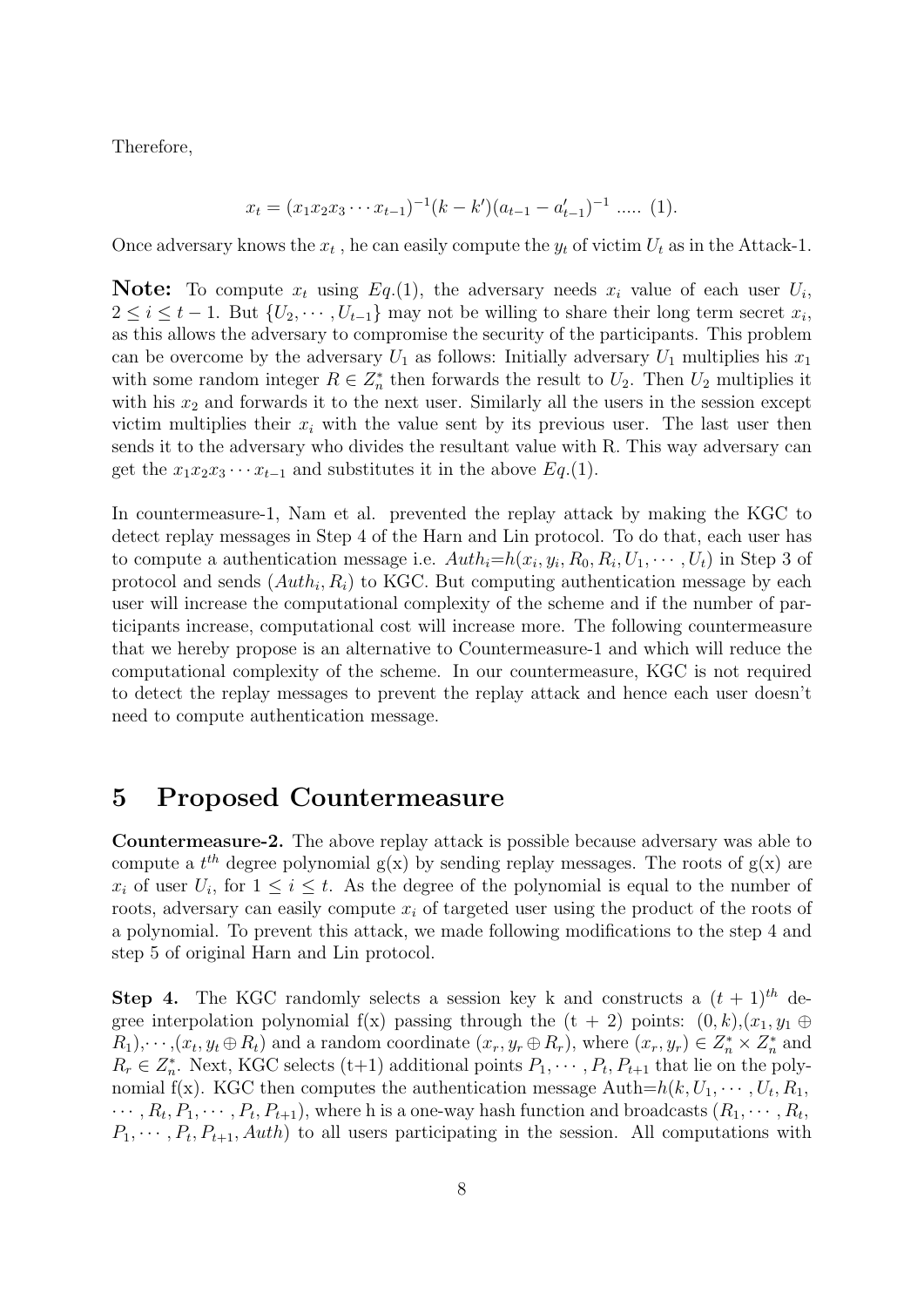Therefore,

$$
x_t = (x_1 x_2 x_3 \cdots x_{t-1})^{-1} (k - k') (a_{t-1} - a'_{t-1})^{-1} \cdots (1).
$$

Once adversary knows the  $x_t$ , he can easily compute the  $y_t$  of victim  $U_t$  as in the Attack-1.

**Note:** To compute  $x_t$  using  $Eq.(1)$ , the adversary needs  $x_i$  value of each user  $U_i$ ,  $2 \leq i \leq t-1$ . But  $\{U_2, \cdots, U_{t-1}\}\$  may not be willing to share their long term secret  $x_i$ , as this allows the adversary to compromise the security of the participants. This problem can be overcome by the adversary  $U_1$  as follows: Initially adversary  $U_1$  multiplies his  $x_1$ with some random integer  $R \in \mathbb{Z}_n^*$  then forwards the result to  $U_2$ . Then  $U_2$  multiplies it with his  $x_2$  and forwards it to the next user. Similarly all the users in the session except victim multiplies their  $x_i$  with the value sent by its previous user. The last user then sends it to the adversary who divides the resultant value with R. This way adversary can get the  $x_1x_2x_3\cdots x_{t-1}$  and substitutes it in the above  $Eq.(1)$ .

In countermeasure-1, Nam et al. prevented the replay attack by making the KGC to detect replay messages in Step 4 of the Harn and Lin protocol. To do that, each user has to compute a authentication message i.e.  $Auth_i=h(x_i, y_i, R_0, R_i, U_1, \cdots, U_t)$  in Step 3 of protocol and sends  $(Auth_i, R_i)$  to KGC. But computing authentication message by each user will increase the computational complexity of the scheme and if the number of participants increase, computational cost will increase more. The following countermeasure that we hereby propose is an alternative to Countermeasure-1 and which will reduce the computational complexity of the scheme. In our countermeasure, KGC is not required to detect the replay messages to prevent the replay attack and hence each user doesn't need to compute authentication message.

### 5 Proposed Countermeasure

Countermeasure-2. The above replay attack is possible because adversary was able to compute a  $t^{th}$  degree polynomial  $g(x)$  by sending replay messages. The roots of  $g(x)$  are  $x_i$  of user  $U_i$ , for  $1 \leq i \leq t$ . As the degree of the polynomial is equal to the number of roots, adversary can easily compute  $x_i$  of targeted user using the product of the roots of a polynomial. To prevent this attack, we made following modifications to the step 4 and step 5 of original Harn and Lin protocol.

**Step 4.** The KGC randomly selects a session key k and constructs a  $(t + 1)^{th}$  degree interpolation polynomial f(x) passing through the  $(t + 2)$  points:  $(0, k), (x_1, y_1 \oplus$  $R_1, \dots, (x_t, y_t \oplus R_t)$  and a random coordinate  $(x_r, y_r \oplus R_r)$ , where  $(x_r, y_r) \in Z_n^* \times Z_n^*$  and  $R_r \in \mathbb{Z}_n^*$ . Next, KGC selects (t+1) additional points  $P_1, \dots, P_t, P_{t+1}$  that lie on the polynomial f(x). KGC then computes the authentication message  $\text{Auth}=h(k, U_1, \dots, U_t, R_1,$  $\cdots, R_t, P_1, \cdots, P_t, P_{t+1}$ , where h is a one-way hash function and broadcasts  $(R_1, \cdots, R_t,$  $P_1, \dots, P_t, P_{t+1}, \text{Aut}$  to all users participating in the session. All computations with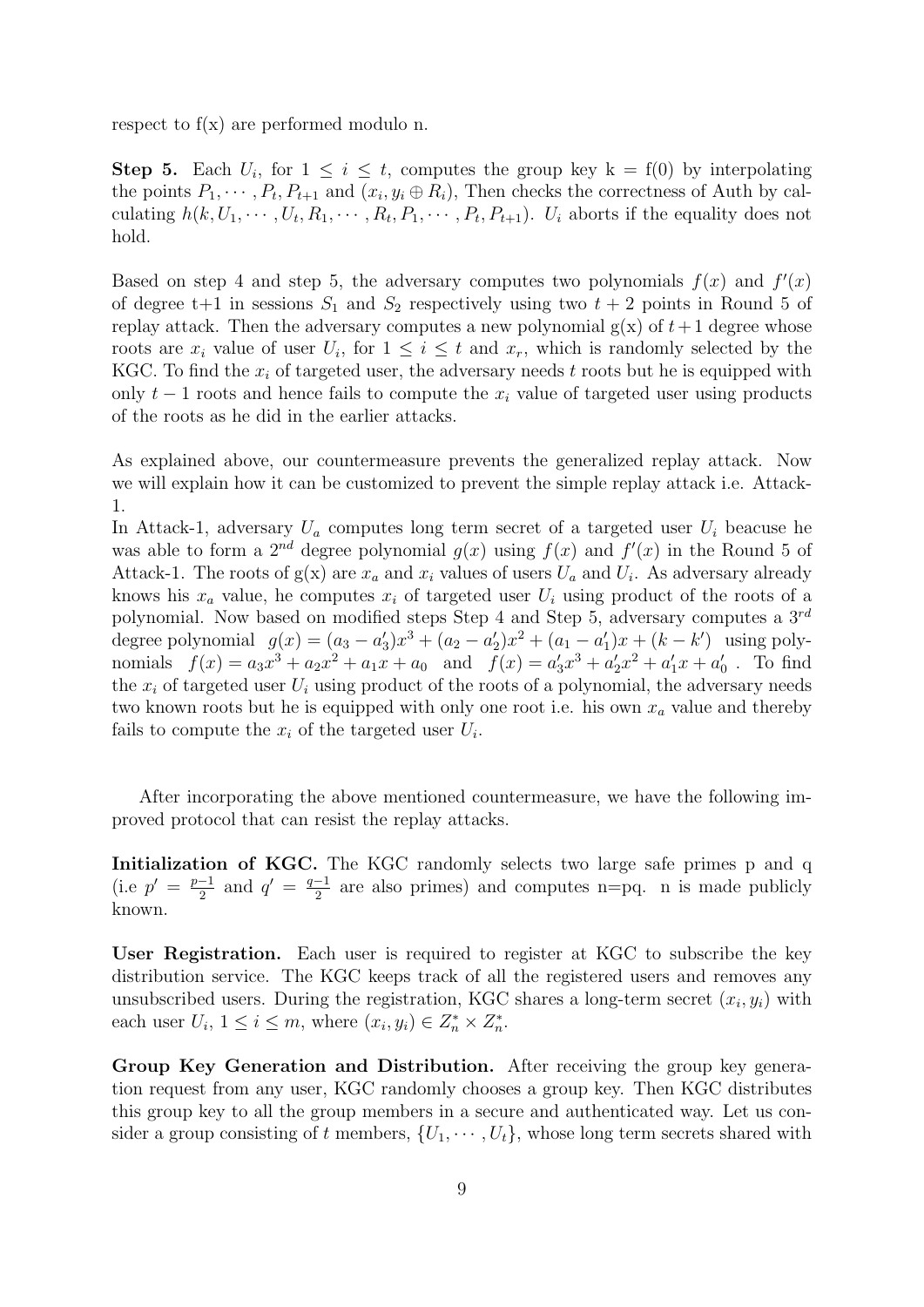respect to f(x) are performed modulo n.

**Step 5.** Each  $U_i$ , for  $1 \leq i \leq t$ , computes the group key  $k = f(0)$  by interpolating the points  $P_1, \dots, P_t, P_{t+1}$  and  $(x_i, y_i \oplus R_i)$ , Then checks the correctness of Auth by calculating  $h(k, U_1, \dots, U_t, R_1, \dots, R_t, P_1, \dots, P_t, P_{t+1})$ .  $U_i$  aborts if the equality does not hold.

Based on step 4 and step 5, the adversary computes two polynomials  $f(x)$  and  $f'(x)$ of degree t+1 in sessions  $S_1$  and  $S_2$  respectively using two  $t + 2$  points in Round 5 of replay attack. Then the adversary computes a new polynomial  $g(x)$  of  $t+1$  degree whose roots are  $x_i$  value of user  $U_i$ , for  $1 \leq i \leq t$  and  $x_r$ , which is randomly selected by the KGC. To find the  $x_i$  of targeted user, the adversary needs t roots but he is equipped with only  $t - 1$  roots and hence fails to compute the  $x_i$  value of targeted user using products of the roots as he did in the earlier attacks.

As explained above, our countermeasure prevents the generalized replay attack. Now we will explain how it can be customized to prevent the simple replay attack i.e. Attack-1.

In Attack-1, adversary  $U_a$  computes long term secret of a targeted user  $U_i$  beacuse he was able to form a 2<sup>nd</sup> degree polynomial  $g(x)$  using  $f(x)$  and  $f'(x)$  in the Round 5 of Attack-1. The roots of  $g(x)$  are  $x_a$  and  $x_i$  values of users  $U_a$  and  $U_i$ . As adversary already knows his  $x_a$  value, he computes  $x_i$  of targeted user  $U_i$  using product of the roots of a polynomial. Now based on modified steps Step 4 and Step 5, adversary computes a  $3^{rd}$ degree polynomial  $g(x) = (a_3 - a'_3)x^3 + (a_2 - a'_2)x^2 + (a_1 - a'_1)x + (k - k')$  using polynomials  $f(x) = a_3x^3 + a_2x^2 + a_1x + a_0$  and  $f(x) = a'_3x^3 + a'_2x^2 + a'_1x + a'_0$ . To find the  $x_i$  of targeted user  $U_i$  using product of the roots of a polynomial, the adversary needs two known roots but he is equipped with only one root i.e. his own  $x_a$  value and thereby fails to compute the  $x_i$  of the targeted user  $U_i$ .

After incorporating the above mentioned countermeasure, we have the following improved protocol that can resist the replay attacks.

Initialization of KGC. The KGC randomly selects two large safe primes p and q  $(i.e p' = \frac{p-1}{2})$  $\frac{-1}{2}$  and  $q' = \frac{q-1}{2}$  $\frac{-1}{2}$  are also primes) and computes n=pq. n is made publicly known.

User Registration. Each user is required to register at KGC to subscribe the key distribution service. The KGC keeps track of all the registered users and removes any unsubscribed users. During the registration, KGC shares a long-term secret  $(x_i, y_i)$  with each user  $U_i$ ,  $1 \leq i \leq m$ , where  $(x_i, y_i) \in Z_n^* \times Z_n^*$ .

Group Key Generation and Distribution. After receiving the group key generation request from any user, KGC randomly chooses a group key. Then KGC distributes this group key to all the group members in a secure and authenticated way. Let us consider a group consisting of t members,  $\{U_1, \dots, U_t\}$ , whose long term secrets shared with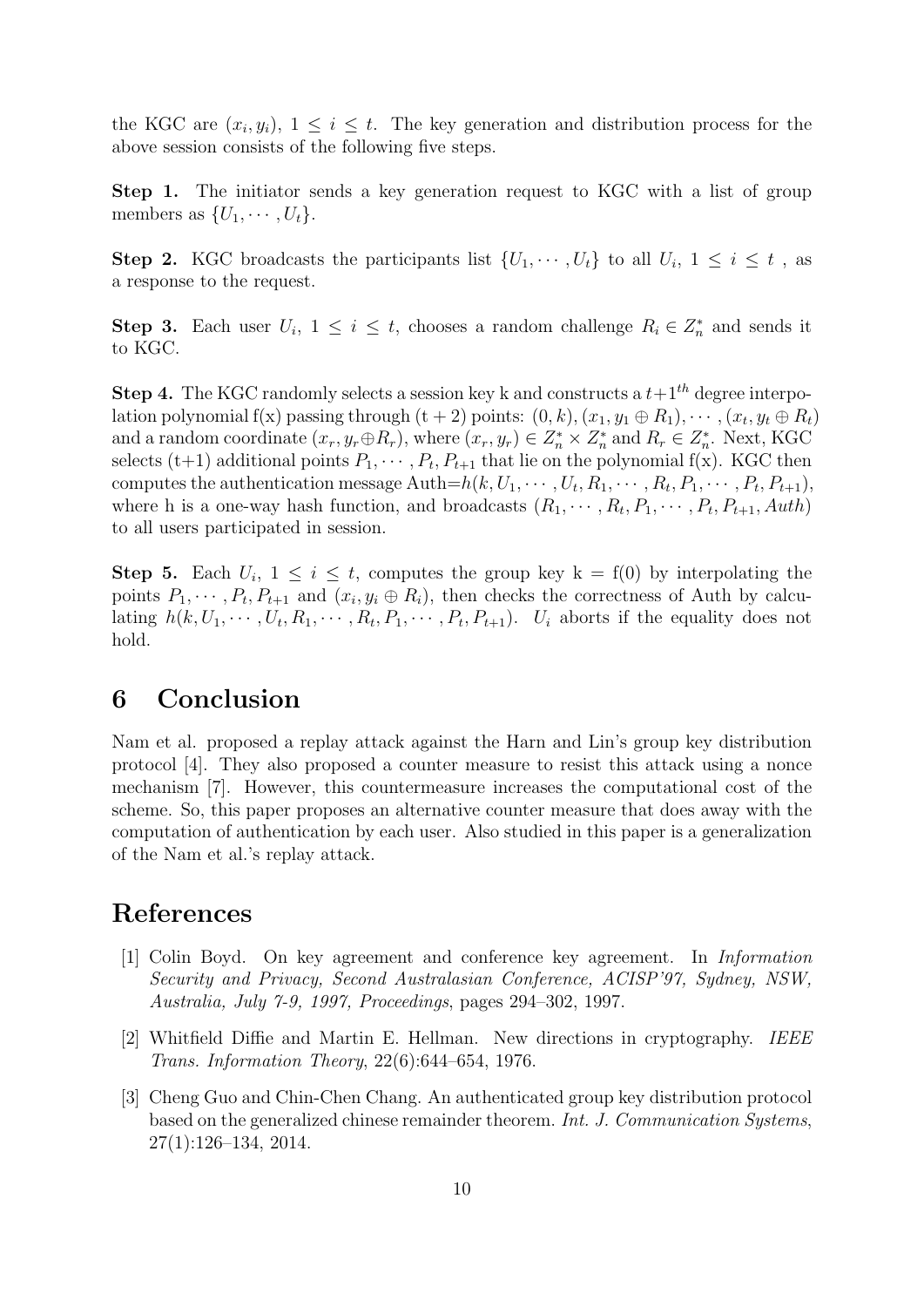the KGC are  $(x_i, y_i)$ ,  $1 \leq i \leq t$ . The key generation and distribution process for the above session consists of the following five steps.

Step 1. The initiator sends a key generation request to KGC with a list of group members as  $\{U_1, \cdots, U_t\}.$ 

**Step 2.** KGC broadcasts the participants list  $\{U_1, \dots, U_t\}$  to all  $U_i$ ,  $1 \leq i \leq t$ , as a response to the request.

**Step 3.** Each user  $U_i$ ,  $1 \leq i \leq t$ , chooses a random challenge  $R_i \in Z_n^*$  and sends it to KGC.

**Step 4.** The KGC randomly selects a session key k and constructs a  $t+1<sup>th</sup>$  degree interpolation polynomial f(x) passing through  $(t + 2)$  points:  $(0, k), (x_1, y_1 \oplus R_1), \cdots, (x_t, y_t \oplus R_t)$ and a random coordinate  $(x_r, y_r \oplus R_r)$ , where  $(x_r, y_r) \in Z_n^* \times Z_n^*$  and  $R_r \in Z_n^*$ . Next, KGC selects (t+1) additional points  $P_1, \cdots, P_t, P_{t+1}$  that lie on the polynomial f(x). KGC then computes the authentication message Auth= $h(k, U_1, \cdots, U_t, R_1, \cdots, R_t, P_1, \cdots, P_t, P_{t+1}),$ where h is a one-way hash function, and broadcasts  $(R_1, \dots, R_t, P_1, \dots, P_t, P_{t+1}, \text{Aut}h)$ to all users participated in session.

**Step 5.** Each  $U_i$ ,  $1 \leq i \leq t$ , computes the group key  $k = f(0)$  by interpolating the points  $P_1, \dots, P_t, P_{t+1}$  and  $(x_i, y_i \oplus R_i)$ , then checks the correctness of Auth by calculating  $h(k, U_1, \dots, U_t, R_1, \dots, R_t, P_1, \dots, P_t, P_{t+1})$ .  $U_i$  aborts if the equality does not hold.

### 6 Conclusion

Nam et al. proposed a replay attack against the Harn and Lin's group key distribution protocol [4]. They also proposed a counter measure to resist this attack using a nonce mechanism [7]. However, this countermeasure increases the computational cost of the scheme. So, this paper proposes an alternative counter measure that does away with the computation of authentication by each user. Also studied in this paper is a generalization of the Nam et al.'s replay attack.

# References

- [1] Colin Boyd. On key agreement and conference key agreement. In Information Security and Privacy, Second Australasian Conference, ACISP'97, Sydney, NSW, Australia, July 7-9, 1997, Proceedings, pages 294–302, 1997.
- [2] Whitfield Diffie and Martin E. Hellman. New directions in cryptography. IEEE Trans. Information Theory, 22(6):644–654, 1976.
- [3] Cheng Guo and Chin-Chen Chang. An authenticated group key distribution protocol based on the generalized chinese remainder theorem. Int. J. Communication Systems, 27(1):126–134, 2014.